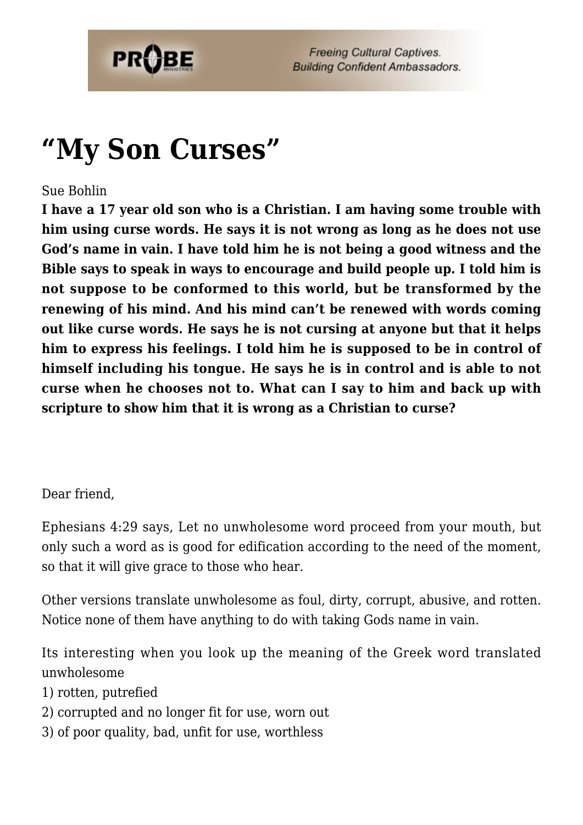

# **["My Son Curses"](https://probe.org/my-son-curses/)**

#### Sue Bohlin

**I have a 17 year old son who is a Christian. I am having some trouble with him using curse words. He says it is not wrong as long as he does not use God's name in vain. I have told him he is not being a good witness and the Bible says to speak in ways to encourage and build people up. I told him is not suppose to be conformed to this world, but be transformed by the renewing of his mind. And his mind can't be renewed with words coming out like curse words. He says he is not cursing at anyone but that it helps him to express his feelings. I told him he is supposed to be in control of himself including his tongue. He says he is in control and is able to not curse when he chooses not to. What can I say to him and back up with scripture to show him that it is wrong as a Christian to curse?**

Dear friend,

Ephesians 4:29 says, Let no unwholesome word proceed from your mouth, but only such a word as is good for edification according to the need of the moment, so that it will give grace to those who hear.

Other versions translate unwholesome as foul, dirty, corrupt, abusive, and rotten. Notice none of them have anything to do with taking Gods name in vain.

Its interesting when you look up the meaning of the Greek word translated unwholesome

1) rotten, putrefied

- 2) corrupted and no longer fit for use, worn out
- 3) of poor quality, bad, unfit for use, worthless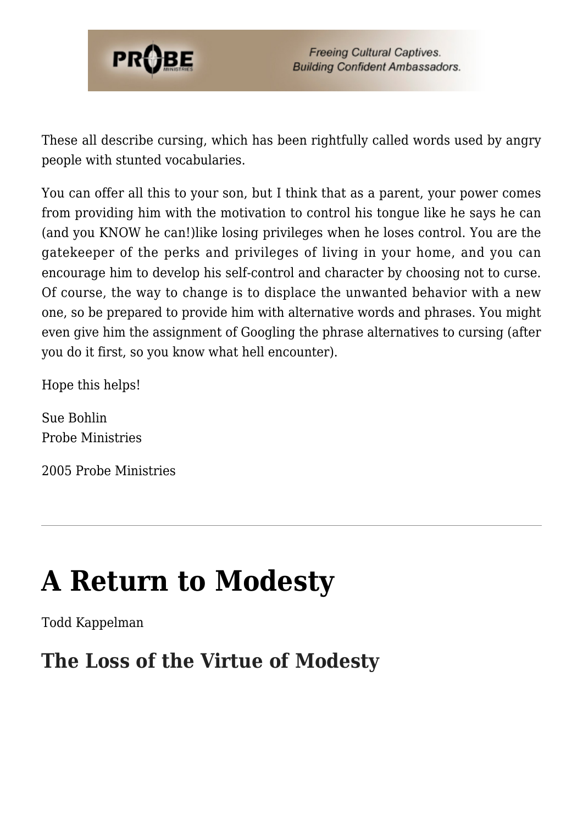

These all describe cursing, which has been rightfully called words used by angry people with stunted vocabularies.

You can offer all this to your son, but I think that as a parent, your power comes from providing him with the motivation to control his tongue like he says he can (and you KNOW he can!)like losing privileges when he loses control. You are the gatekeeper of the perks and privileges of living in your home, and you can encourage him to develop his self-control and character by choosing not to curse. Of course, the way to change is to displace the unwanted behavior with a new one, so be prepared to provide him with alternative words and phrases. You might even give him the assignment of Googling the phrase alternatives to cursing (after you do it first, so you know what hell encounter).

Hope this helps!

Sue Bohlin Probe Ministries

2005 Probe Ministries

# **[A Return to Modesty](https://probe.org/a-return-to-modesty/)**

Todd Kappelman

### **The Loss of the Virtue of Modesty**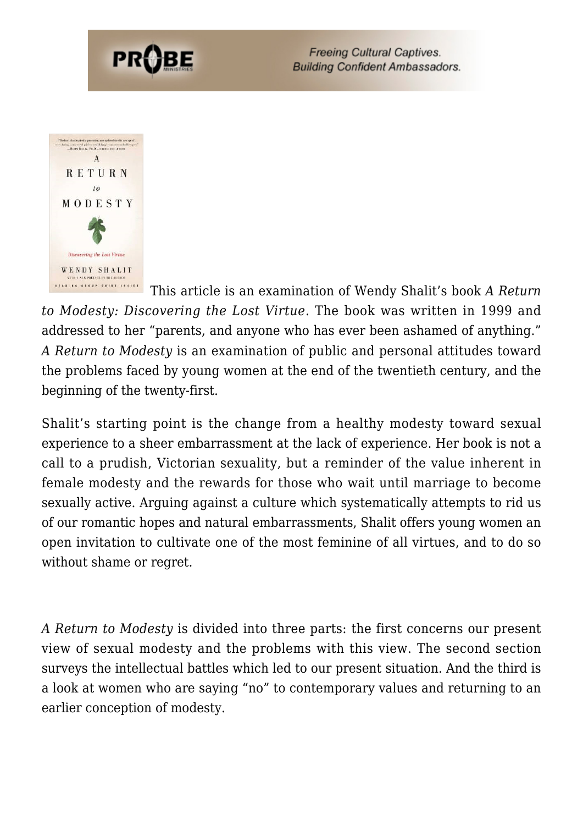



This article is an examination of Wendy Shalit's book *A Return to Modesty: Discovering the Lost Virtue*. The book was written in 1999 and addressed to her "parents, and anyone who has ever been ashamed of anything." *A Return to Modesty* is an examination of public and personal attitudes toward the problems faced by young women at the end of the twentieth century, and the beginning of the twenty-first.

Shalit's starting point is the change from a healthy modesty toward sexual experience to a sheer embarrassment at the lack of experience. Her book is not a call to a prudish, Victorian sexuality, but a reminder of the value inherent in female modesty and the rewards for those who wait until marriage to become sexually active. Arguing against a culture which systematically attempts to rid us of our romantic hopes and natural embarrassments, Shalit offers young women an open invitation to cultivate one of the most feminine of all virtues, and to do so without shame or regret.

*A Return to Modesty* is divided into three parts: the first concerns our present view of sexual modesty and the problems with this view. The second section surveys the intellectual battles which led to our present situation. And the third is a look at women who are saying "no" to contemporary values and returning to an earlier conception of modesty.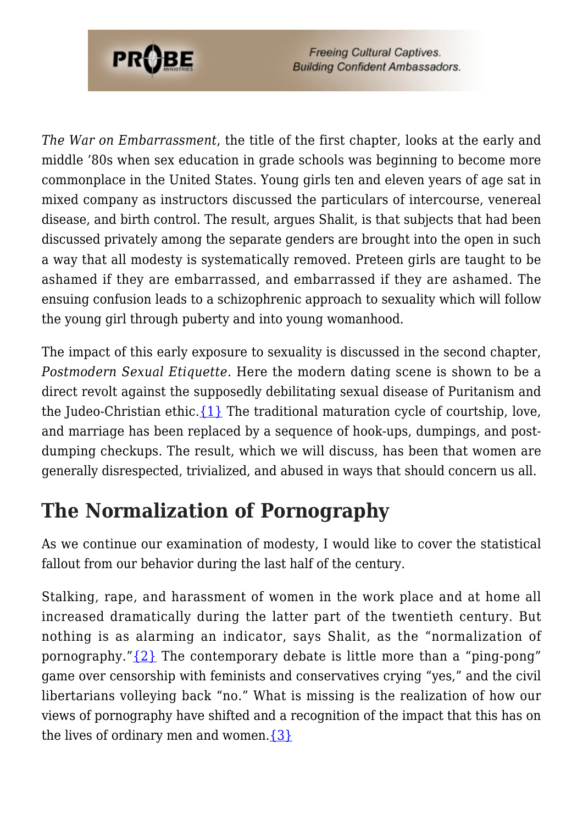

*The War on Embarrassment*, the title of the first chapter, looks at the early and middle '80s when sex education in grade schools was beginning to become more commonplace in the United States. Young girls ten and eleven years of age sat in mixed company as instructors discussed the particulars of intercourse, venereal disease, and birth control. The result, argues Shalit, is that subjects that had been discussed privately among the separate genders are brought into the open in such a way that all modesty is systematically removed. Preteen girls are taught to be ashamed if they are embarrassed, and embarrassed if they are ashamed. The ensuing confusion leads to a schizophrenic approach to sexuality which will follow the young girl through puberty and into young womanhood.

The impact of this early exposure to sexuality is discussed in the second chapter, *Postmodern Sexual Etiquette.* Here the modern dating scene is shown to be a direct revolt against the supposedly debilitating sexual disease of Puritanism and the Judeo-Christian ethic.  $\{1\}$  The traditional maturation cycle of courtship, love, and marriage has been replaced by a sequence of hook-ups, dumpings, and postdumping checkups. The result, which we will discuss, has been that women are generally disrespected, trivialized, and abused in ways that should concern us all.

# **The Normalization of Pornography**

As we continue our examination of modesty, I would like to cover the statistical fallout from our behavior during the last half of the century.

Stalking, rape, and harassment of women in the work place and at home all increased dramatically during the latter part of the twentieth century. But nothing is as alarming an indicator, says Shalit, as the "normalization of pornography." $\{2\}$  The contemporary debate is little more than a "ping-pong" game over censorship with feminists and conservatives crying "yes," and the civil libertarians volleying back "no." What is missing is the realization of how our views of pornography have shifted and a recognition of the impact that this has on the lives of ordinary men and women. $\{3\}$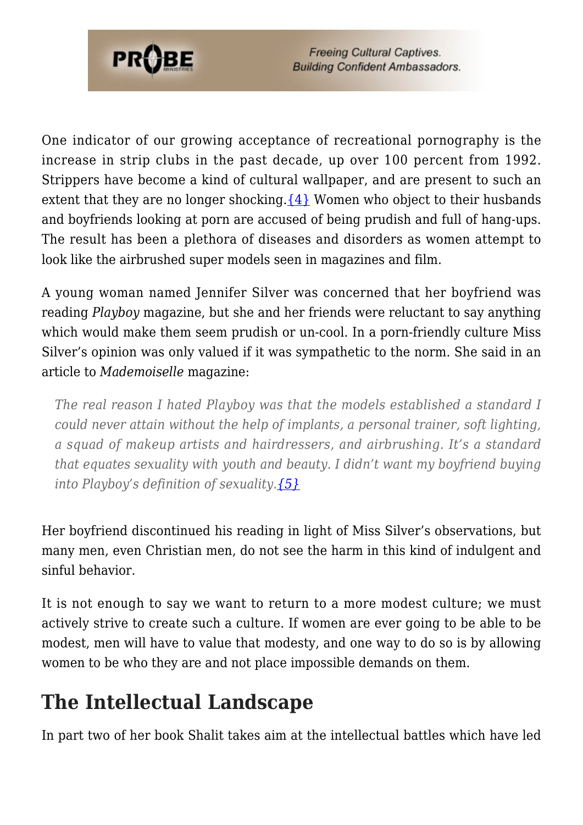

One indicator of our growing acceptance of recreational pornography is the increase in strip clubs in the past decade, up over 100 percent from 1992. Strippers have become a kind of cultural wallpaper, and are present to such an extent that they are no longer shocking. $\{4\}$  Women who object to their husbands and boyfriends looking at porn are accused of being prudish and full of hang-ups. The result has been a plethora of diseases and disorders as women attempt to look like the airbrushed super models seen in magazines and film.

A young woman named Jennifer Silver was concerned that her boyfriend was reading *Playboy* magazine, but she and her friends were reluctant to say anything which would make them seem prudish or un-cool. In a porn-friendly culture Miss Silver's opinion was only valued if it was sympathetic to the norm. She said in an article to *Mademoiselle* magazine:

*The real reason I hated Playboy was that the models established a standard I could never attain without the help of implants, a personal trainer, soft lighting, a squad of makeup artists and hairdressers, and airbrushing. It's a standard that equates sexuality with youth and beauty. I didn't want my boyfriend buying into Playboy's definition of sexuality[.{5}](#page-8-4)*

Her boyfriend discontinued his reading in light of Miss Silver's observations, but many men, even Christian men, do not see the harm in this kind of indulgent and sinful behavior.

It is not enough to say we want to return to a more modest culture; we must actively strive to create such a culture. If women are ever going to be able to be modest, men will have to value that modesty, and one way to do so is by allowing women to be who they are and not place impossible demands on them.

# **The Intellectual Landscape**

In part two of her book Shalit takes aim at the intellectual battles which have led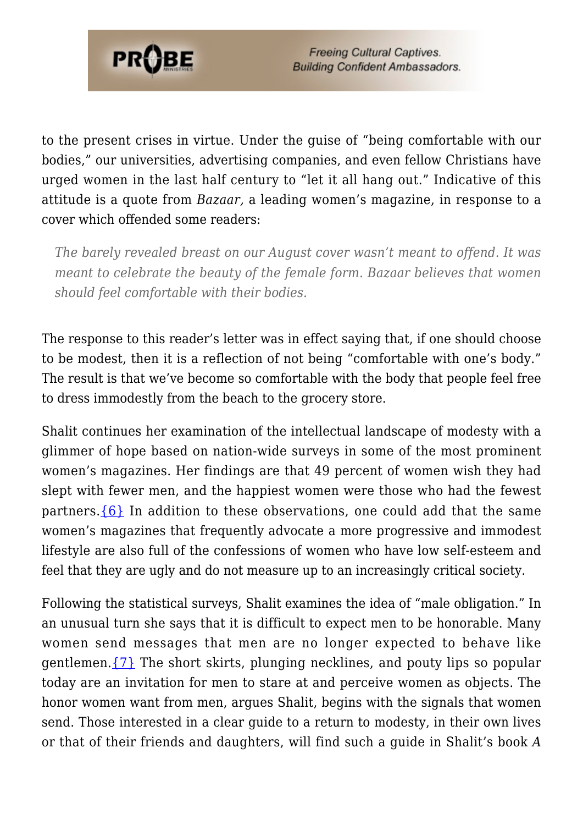

to the present crises in virtue. Under the guise of "being comfortable with our bodies," our universities, advertising companies, and even fellow Christians have urged women in the last half century to "let it all hang out." Indicative of this attitude is a quote from *Bazaar,* a leading women's magazine, in response to a cover which offended some readers:

*The barely revealed breast on our August cover wasn't meant to offend. It was meant to celebrate the beauty of the female form. Bazaar believes that women should feel comfortable with their bodies.*

The response to this reader's letter was in effect saying that, if one should choose to be modest, then it is a reflection of not being "comfortable with one's body." The result is that we've become so comfortable with the body that people feel free to dress immodestly from the beach to the grocery store.

Shalit continues her examination of the intellectual landscape of modesty with a glimmer of hope based on nation-wide surveys in some of the most prominent women's magazines. Her findings are that 49 percent of women wish they had slept with fewer men, and the happiest women were those who had the fewest partners.  $\{6\}$  In addition to these observations, one could add that the same women's magazines that frequently advocate a more progressive and immodest lifestyle are also full of the confessions of women who have low self-esteem and feel that they are ugly and do not measure up to an increasingly critical society.

Following the statistical surveys, Shalit examines the idea of "male obligation." In an unusual turn she says that it is difficult to expect men to be honorable. Many women send messages that men are no longer expected to behave like gentlemen. $\{7\}$  The short skirts, plunging necklines, and pouty lips so popular today are an invitation for men to stare at and perceive women as objects. The honor women want from men, argues Shalit, begins with the signals that women send. Those interested in a clear guide to a return to modesty, in their own lives or that of their friends and daughters, will find such a guide in Shalit's book *A*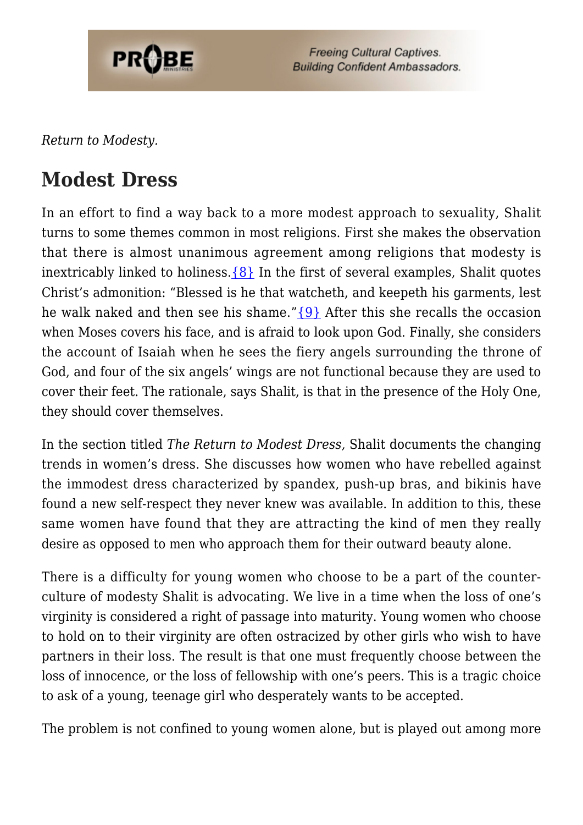

*Return to Modesty.*

### **Modest Dress**

In an effort to find a way back to a more modest approach to sexuality, Shalit turns to some themes common in most religions. First she makes the observation that there is almost unanimous agreement among religions that modesty is inextricably linked to holiness.  $\{8\}$  In the first of several examples, Shalit quotes Christ's admonition: "Blessed is he that watcheth, and keepeth his garments, lest he walk naked and then see his shame." ${9}$  After this she recalls the occasion when Moses covers his face, and is afraid to look upon God. Finally, she considers the account of Isaiah when he sees the fiery angels surrounding the throne of God, and four of the six angels' wings are not functional because they are used to cover their feet. The rationale, says Shalit, is that in the presence of the Holy One, they should cover themselves.

In the section titled *The Return to Modest Dress,* Shalit documents the changing trends in women's dress. She discusses how women who have rebelled against the immodest dress characterized by spandex, push-up bras, and bikinis have found a new self-respect they never knew was available. In addition to this, these same women have found that they are attracting the kind of men they really desire as opposed to men who approach them for their outward beauty alone.

There is a difficulty for young women who choose to be a part of the counterculture of modesty Shalit is advocating. We live in a time when the loss of one's virginity is considered a right of passage into maturity. Young women who choose to hold on to their virginity are often ostracized by other girls who wish to have partners in their loss. The result is that one must frequently choose between the loss of innocence, or the loss of fellowship with one's peers. This is a tragic choice to ask of a young, teenage girl who desperately wants to be accepted.

The problem is not confined to young women alone, but is played out among more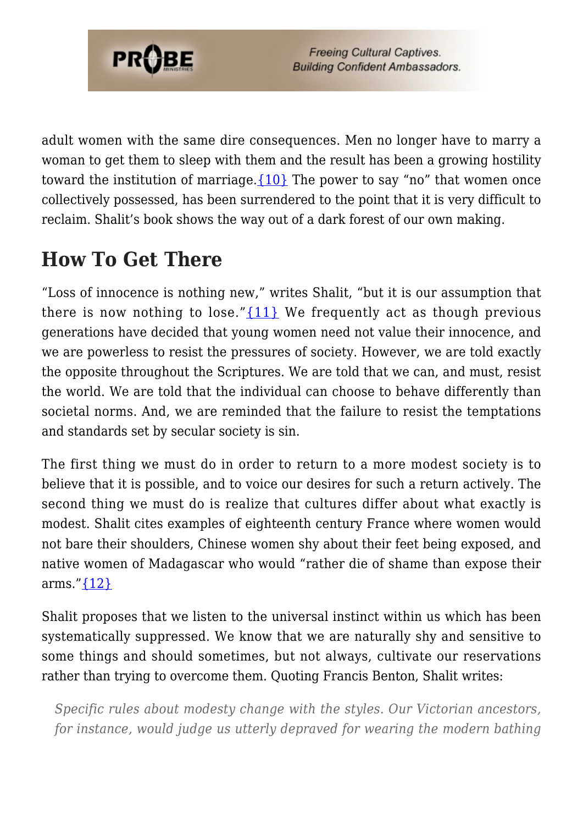

adult women with the same dire consequences. Men no longer have to marry a woman to get them to sleep with them and the result has been a growing hostility toward the institution of marriage. $\{10\}$  The power to say "no" that women once collectively possessed, has been surrendered to the point that it is very difficult to reclaim. Shalit's book shows the way out of a dark forest of our own making.

## **How To Get There**

"Loss of innocence is nothing new," writes Shalit, "but it is our assumption that there is now nothing to lose." $\{11\}$  We frequently act as though previous generations have decided that young women need not value their innocence, and we are powerless to resist the pressures of society. However, we are told exactly the opposite throughout the Scriptures. We are told that we can, and must, resist the world. We are told that the individual can choose to behave differently than societal norms. And, we are reminded that the failure to resist the temptations and standards set by secular society is sin.

The first thing we must do in order to return to a more modest society is to believe that it is possible, and to voice our desires for such a return actively. The second thing we must do is realize that cultures differ about what exactly is modest. Shalit cites examples of eighteenth century France where women would not bare their shoulders, Chinese women shy about their feet being exposed, and native women of Madagascar who would "rather die of shame than expose their arms." $\{12\}$ 

Shalit proposes that we listen to the universal instinct within us which has been systematically suppressed. We know that we are naturally shy and sensitive to some things and should sometimes, but not always, cultivate our reservations rather than trying to overcome them. Quoting Francis Benton, Shalit writes:

*Specific rules about modesty change with the styles. Our Victorian ancestors, for instance, would judge us utterly depraved for wearing the modern bathing*